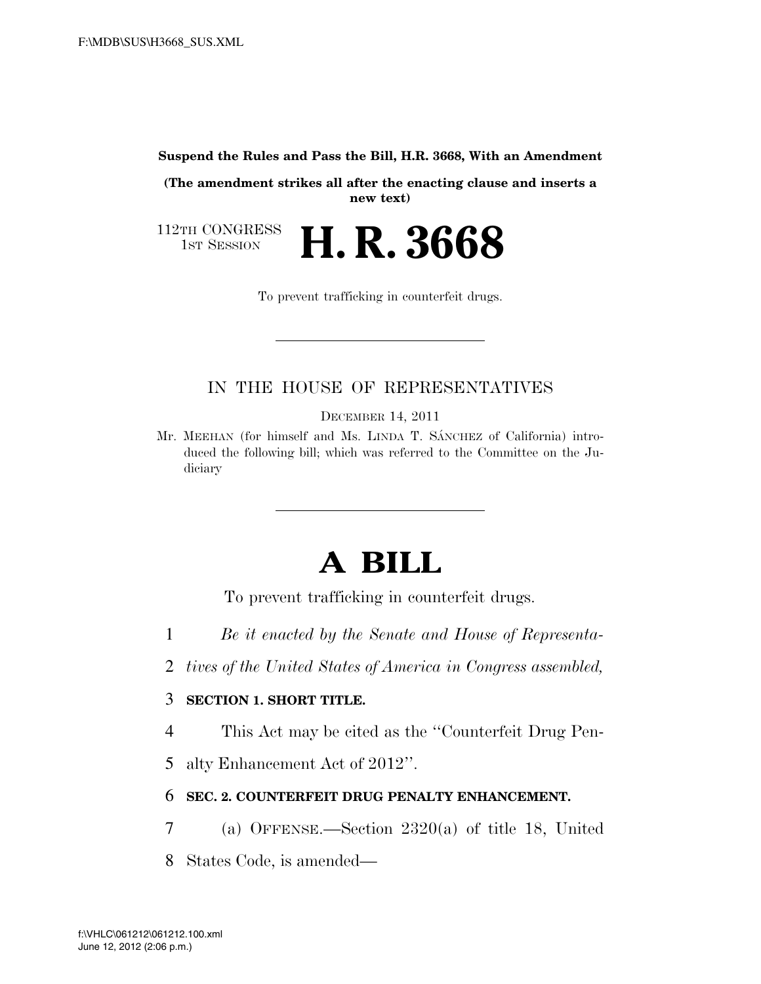**Suspend the Rules and Pass the Bill, H.R. 3668, With an Amendment** 

**(The amendment strikes all after the enacting clause and inserts a new text)** 

112TH CONGRESS<br>1st Session 1ST SESSION **H. R. 3668**

To prevent trafficking in counterfeit drugs.

## IN THE HOUSE OF REPRESENTATIVES

DECEMBER 14, 2011

Mr. MEEHAN (for himself and Ms. LINDA T. SÁNCHEZ of California) introduced the following bill; which was referred to the Committee on the Judiciary

# **A BILL**

To prevent trafficking in counterfeit drugs.

- 1 *Be it enacted by the Senate and House of Representa-*
- 2 *tives of the United States of America in Congress assembled,*

### 3 **SECTION 1. SHORT TITLE.**

- 4 This Act may be cited as the ''Counterfeit Drug Pen-
- 5 alty Enhancement Act of 2012''.

### 6 **SEC. 2. COUNTERFEIT DRUG PENALTY ENHANCEMENT.**

- 7 (a) OFFENSE.—Section 2320(a) of title 18, United
- 8 States Code, is amended—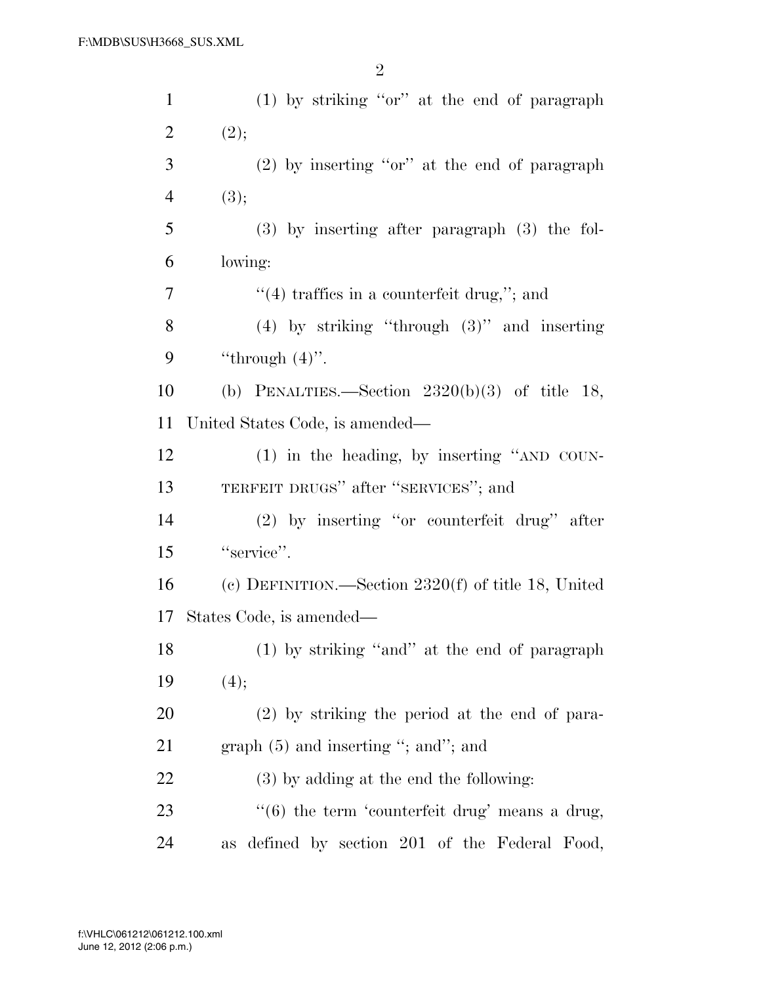| $\mathbf{1}$   | $(1)$ by striking "or" at the end of paragraph                 |
|----------------|----------------------------------------------------------------|
| $\overline{c}$ | (2);                                                           |
| 3              | $(2)$ by inserting "or" at the end of paragraph                |
| $\overline{4}$ | (3);                                                           |
| 5              | $(3)$ by inserting after paragraph $(3)$ the fol-              |
| 6              | lowing:                                                        |
| 7              | $\cdot$ (4) traffies in a counterfeit drug,"; and              |
| 8              | $(4)$ by striking "through $(3)$ " and inserting               |
| 9              | "through $(4)$ ".                                              |
| 10             | (b) PENALTIES.—Section $2320(b)(3)$ of title 18,               |
| 11             | United States Code, is amended—                                |
| 12             | $(1)$ in the heading, by inserting "AND COUN-                  |
| 13             | TERFEIT DRUGS" after "SERVICES"; and                           |
| 14             | (2) by inserting "or counterfeit drug" after                   |
| 15             | "service".                                                     |
| 16             | (c) DEFINITION.—Section $2320(f)$ of title 18, United          |
| 17             | States Code, is amended—                                       |
| 18             | (1) by striking "and" at the end of paragraph                  |
| 19             | (4);                                                           |
| 20             | $(2)$ by striking the period at the end of para-               |
| 21             | graph $(5)$ and inserting "; and"; and                         |
| 22             | $(3)$ by adding at the end the following:                      |
| 23             | $\cdot\cdot\cdot(6)$ the term 'counterfeit drug' means a drug, |
| 24             | defined by section 201 of the Federal Food,<br>as              |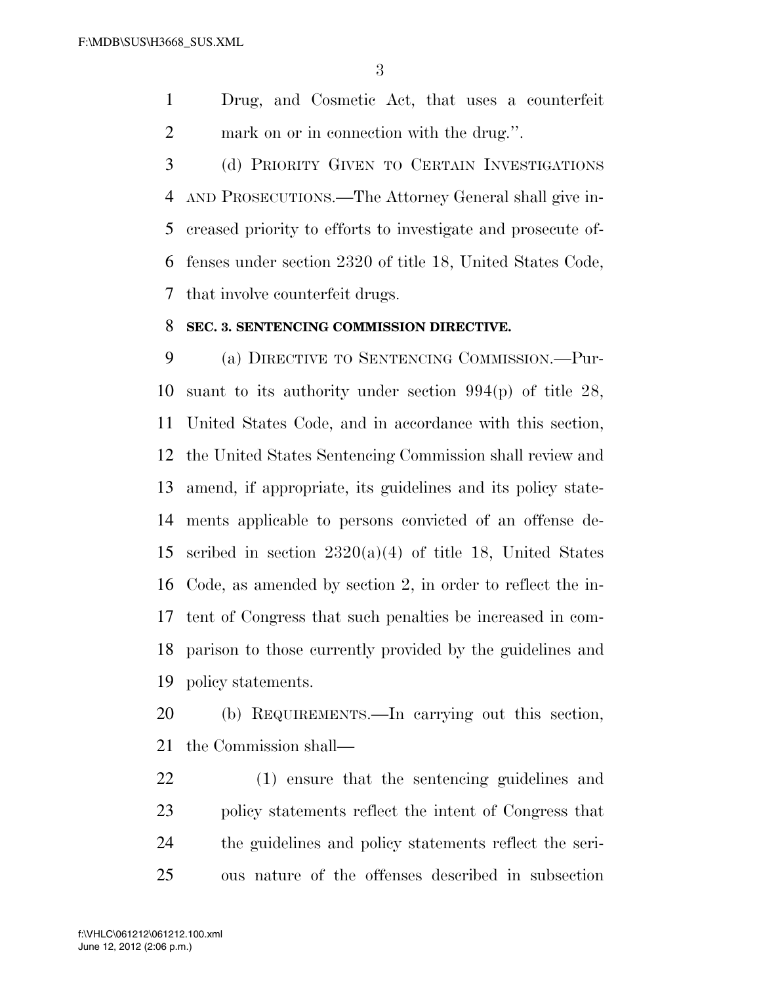Drug, and Cosmetic Act, that uses a counterfeit mark on or in connection with the drug.''.

 (d) PRIORITY GIVEN TO CERTAIN INVESTIGATIONS AND PROSECUTIONS.—The Attorney General shall give in- creased priority to efforts to investigate and prosecute of- fenses under section 2320 of title 18, United States Code, that involve counterfeit drugs.

#### **SEC. 3. SENTENCING COMMISSION DIRECTIVE.**

 (a) DIRECTIVE TO SENTENCING COMMISSION.—Pur- suant to its authority under section 994(p) of title 28, United States Code, and in accordance with this section, the United States Sentencing Commission shall review and amend, if appropriate, its guidelines and its policy state- ments applicable to persons convicted of an offense de-15 scribed in section  $2320(a)(4)$  of title 18, United States Code, as amended by section 2, in order to reflect the in- tent of Congress that such penalties be increased in com- parison to those currently provided by the guidelines and policy statements.

 (b) REQUIREMENTS.—In carrying out this section, the Commission shall—

 (1) ensure that the sentencing guidelines and policy statements reflect the intent of Congress that the guidelines and policy statements reflect the seri-ous nature of the offenses described in subsection